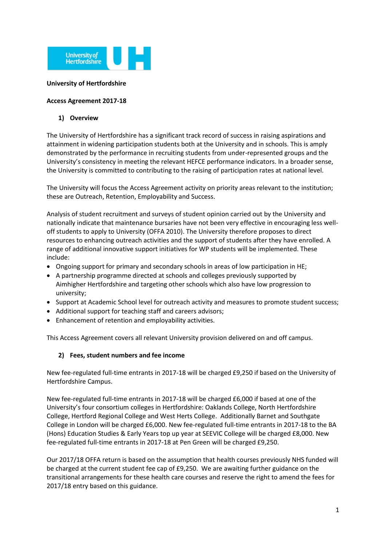

#### **University of Hertfordshire**

#### **Access Agreement 2017-18**

#### **1) Overview**

The University of Hertfordshire has a significant track record of success in raising aspirations and attainment in widening participation students both at the University and in schools. This is amply demonstrated by the performance in recruiting students from under-represented groups and the University's consistency in meeting the relevant HEFCE performance indicators. In a broader sense, the University is committed to contributing to the raising of participation rates at national level.

The University will focus the Access Agreement activity on priority areas relevant to the institution; these are Outreach, Retention, Employability and Success.

Analysis of student recruitment and surveys of student opinion carried out by the University and nationally indicate that maintenance bursaries have not been very effective in encouraging less welloff students to apply to University (OFFA 2010). The University therefore proposes to direct resources to enhancing outreach activities and the support of students after they have enrolled. A range of additional innovative support initiatives for WP students will be implemented. These include:

- Ongoing support for primary and secondary schools in areas of low participation in HE;
- A partnership programme directed at schools and colleges previously supported by Aimhigher Hertfordshire and targeting other schools which also have low progression to university;
- Support at Academic School level for outreach activity and measures to promote student success;
- Additional support for teaching staff and careers advisors;
- Enhancement of retention and employability activities.

This Access Agreement covers all relevant University provision delivered on and off campus.

#### **2) Fees, student numbers and fee income**

New fee-regulated full-time entrants in 2017-18 will be charged £9,250 if based on the University of Hertfordshire Campus.

New fee-regulated full-time entrants in 2017-18 will be charged £6,000 if based at one of the University's four consortium colleges in Hertfordshire: Oaklands College, North Hertfordshire College, Hertford Regional College and West Herts College. Additionally Barnet and Southgate College in London will be charged £6,000. New fee-regulated full-time entrants in 2017-18 to the BA (Hons) Education Studies & Early Years top up year at SEEVIC College will be charged £8,000. New fee-regulated full-time entrants in 2017-18 at Pen Green will be charged £9,250.

Our 2017/18 OFFA return is based on the assumption that health courses previously NHS funded will be charged at the current student fee cap of £9,250. We are awaiting further guidance on the transitional arrangements for these health care courses and reserve the right to amend the fees for 2017/18 entry based on this guidance.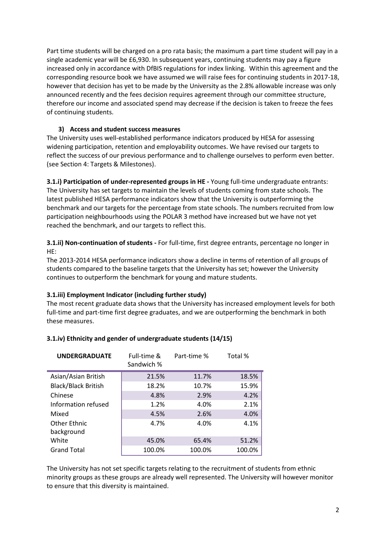Part time students will be charged on a pro rata basis; the maximum a part time student will pay in a single academic year will be £6,930. In subsequent years, continuing students may pay a figure increased only in accordance with DfBIS regulations for index linking. Within this agreement and the corresponding resource book we have assumed we will raise fees for continuing students in 2017-18, however that decision has yet to be made by the University as the 2.8% allowable increase was only announced recently and the fees decision requires agreement through our committee structure, therefore our income and associated spend may decrease if the decision is taken to freeze the fees of continuing students.

#### **3) Access and student success measures**

The University uses well-established performance indicators produced by HESA for assessing widening participation, retention and employability outcomes. We have revised our targets to reflect the success of our previous performance and to challenge ourselves to perform even better. (see Section 4: Targets & Milestones).

**3.1.i) Participation of under-represented groups in HE -** Young full-time undergraduate entrants: The University has set targets to maintain the levels of students coming from state schools. The latest published HESA performance indicators show that the University is outperforming the benchmark and our targets for the percentage from state schools. The numbers recruited from low participation neighbourhoods using the POLAR 3 method have increased but we have not yet reached the benchmark, and our targets to reflect this.

**3.1.ii) Non-continuation of students -** For full-time, first degree entrants, percentage no longer in HE:

The 2013-2014 HESA performance indicators show a decline in terms of retention of all groups of students compared to the baseline targets that the University has set; however the University continues to outperform the benchmark for young and mature students.

#### **3.1.iii) Employment Indicator (including further study)**

The most recent graduate data shows that the University has increased employment levels for both full-time and part-time first degree graduates, and we are outperforming the benchmark in both these measures.

| <b>UNDERGRADUATE</b>       | Full-time &<br>Sandwich % | Part-time % | Total % |
|----------------------------|---------------------------|-------------|---------|
| Asian/Asian British        | 21.5%                     | 11.7%       | 18.5%   |
| <b>Black/Black British</b> | 18.2%                     | 10.7%       | 15.9%   |
| Chinese                    | 4.8%                      | 2.9%        | 4.2%    |
| Information refused        | 1.2%                      | 4.0%        | 2.1%    |
| Mixed                      | 4.5%                      | 2.6%        | 4.0%    |
| Other Ethnic               | 4.7%                      | 4.0%        | 4.1%    |
| background                 |                           |             |         |
| White                      | 45.0%                     | 65.4%       | 51.2%   |
| <b>Grand Total</b>         | 100.0%                    | 100.0%      | 100.0%  |

#### **3.1.iv) Ethnicity and gender of undergraduate students (14/15)**

The University has not set specific targets relating to the recruitment of students from ethnic minority groups as these groups are already well represented. The University will however monitor to ensure that this diversity is maintained.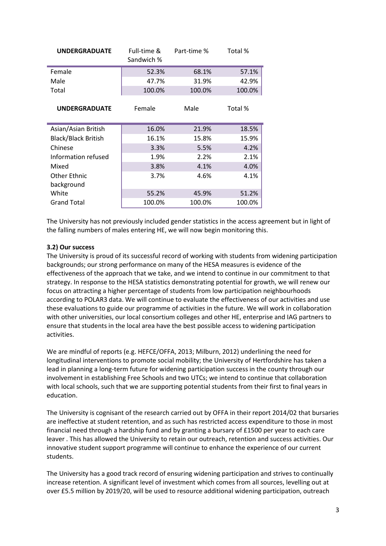| <b>UNDERGRADUATE</b>       | Full-time &<br>Sandwich % | Part-time % | Total % |  |  |  |  |
|----------------------------|---------------------------|-------------|---------|--|--|--|--|
| Female                     | 52.3%                     | 68.1%       | 57.1%   |  |  |  |  |
| Male                       | 47.7%                     | 31.9%       | 42.9%   |  |  |  |  |
| Total                      | 100.0%                    | 100.0%      | 100.0%  |  |  |  |  |
| <b>UNDERGRADUATE</b>       | Female                    | Male        | Total % |  |  |  |  |
| Asian/Asian British        | 16.0%                     | 21.9%       | 18.5%   |  |  |  |  |
| <b>Black/Black British</b> | 16.1%                     | 15.8%       | 15.9%   |  |  |  |  |
| Chinese                    | 3.3%                      | 5.5%        | 4.2%    |  |  |  |  |
| Information refused        | 1.9%                      | 2.2%        | 2.1%    |  |  |  |  |
| Mixed                      | 3.8%                      | 4.1%        | 4.0%    |  |  |  |  |
| Other Ethnic               | 3.7%                      | 4.6%        | 4.1%    |  |  |  |  |
| background                 |                           |             |         |  |  |  |  |
| White                      | 55.2%                     | 45.9%       | 51.2%   |  |  |  |  |
| <b>Grand Total</b>         | 100.0%                    | 100.0%      | 100.0%  |  |  |  |  |

The University has not previously included gender statistics in the access agreement but in light of the falling numbers of males entering HE, we will now begin monitoring this.

# **3.2) Our success**

The University is proud of its successful record of working with students from widening participation backgrounds; our strong performance on many of the HESA measures is evidence of the effectiveness of the approach that we take, and we intend to continue in our commitment to that strategy. In response to the HESA statistics demonstrating potential for growth, we will renew our focus on attracting a higher percentage of students from low participation neighbourhoods according to POLAR3 data. We will continue to evaluate the effectiveness of our activities and use these evaluations to guide our programme of activities in the future. We will work in collaboration with other universities, our local consortium colleges and other HE, enterprise and IAG partners to ensure that students in the local area have the best possible access to widening participation activities.

We are mindful of reports (e.g. HEFCE/OFFA, 2013; Milburn, 2012) underlining the need for longitudinal interventions to promote social mobility; the University of Hertfordshire has taken a lead in planning a long-term future for widening participation success in the county through our involvement in establishing Free Schools and two UTCs; we intend to continue that collaboration with local schools, such that we are supporting potential students from their first to final years in education.

The University is cognisant of the research carried out by OFFA in their report 2014/02 that bursaries are ineffective at student retention, and as such has restricted access expenditure to those in most financial need through a hardship fund and by granting a bursary of £1500 per year to each care leaver . This has allowed the University to retain our outreach, retention and success activities. Our innovative student support programme will continue to enhance the experience of our current students.

The University has a good track record of ensuring widening participation and strives to continually increase retention. A significant level of investment which comes from all sources, levelling out at over £5.5 million by 2019/20, will be used to resource additional widening participation, outreach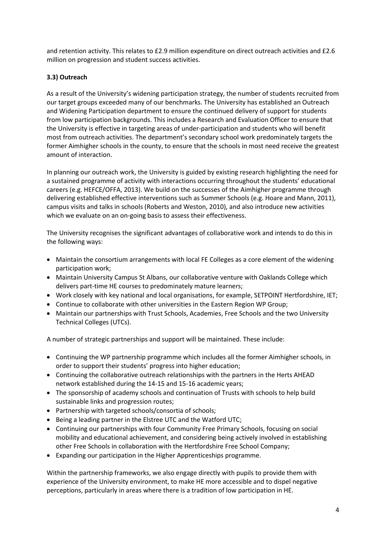and retention activity. This relates to £2.9 million expenditure on direct outreach activities and £2.6 million on progression and student success activities.

# **3.3) Outreach**

As a result of the University's widening participation strategy, the number of students recruited from our target groups exceeded many of our benchmarks. The University has established an Outreach and Widening Participation department to ensure the continued delivery of support for students from low participation backgrounds. This includes a Research and Evaluation Officer to ensure that the University is effective in targeting areas of under-participation and students who will benefit most from outreach activities. The department's secondary school work predominately targets the former Aimhigher schools in the county, to ensure that the schools in most need receive the greatest amount of interaction.

In planning our outreach work, the University is guided by existing research highlighting the need for a sustained programme of activity with interactions occurring throughout the students' educational careers (e.g. HEFCE/OFFA, 2013). We build on the successes of the Aimhigher programme through delivering established effective interventions such as Summer Schools (e.g. Hoare and Mann, 2011), campus visits and talks in schools (Roberts and Weston, 2010), and also introduce new activities which we evaluate on an on-going basis to assess their effectiveness.

The University recognises the significant advantages of collaborative work and intends to do this in the following ways:

- Maintain the consortium arrangements with local FE Colleges as a core element of the widening participation work;
- Maintain University Campus St Albans, our collaborative venture with Oaklands College which delivers part-time HE courses to predominately mature learners;
- Work closely with key national and local organisations, for example, SETPOINT Hertfordshire, IET;
- Continue to collaborate with other universities in the Eastern Region WP Group;
- Maintain our partnerships with Trust Schools, Academies, Free Schools and the two University Technical Colleges (UTCs).

A number of strategic partnerships and support will be maintained. These include:

- Continuing the WP partnership programme which includes all the former Aimhigher schools, in order to support their students' progress into higher education;
- Continuing the collaborative outreach relationships with the partners in the Herts AHEAD network established during the 14-15 and 15-16 academic years;
- The sponsorship of academy schools and continuation of Trusts with schools to help build sustainable links and progression routes;
- Partnership with targeted schools/consortia of schools;
- Being a leading partner in the Elstree UTC and the Watford UTC;
- Continuing our partnerships with four Community Free Primary Schools, focusing on social mobility and educational achievement, and considering being actively involved in establishing other Free Schools in collaboration with the Hertfordshire Free School Company;
- Expanding our participation in the Higher Apprenticeships programme.

Within the partnership frameworks, we also engage directly with pupils to provide them with experience of the University environment, to make HE more accessible and to dispel negative perceptions, particularly in areas where there is a tradition of low participation in HE.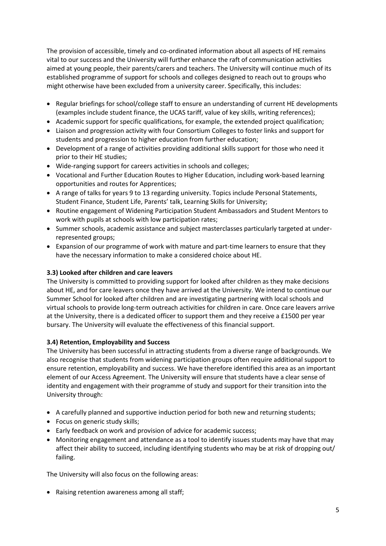The provision of accessible, timely and co-ordinated information about all aspects of HE remains vital to our success and the University will further enhance the raft of communication activities aimed at young people, their parents/carers and teachers. The University will continue much of its established programme of support for schools and colleges designed to reach out to groups who might otherwise have been excluded from a university career. Specifically, this includes:

- Regular briefings for school/college staff to ensure an understanding of current HE developments (examples include student finance, the UCAS tariff, value of key skills, writing references);
- Academic support for specific qualifications, for example, the extended project qualification;
- Liaison and progression activity with four Consortium Colleges to foster links and support for students and progression to higher education from further education;
- Development of a range of activities providing additional skills support for those who need it prior to their HE studies;
- Wide-ranging support for careers activities in schools and colleges;
- Vocational and Further Education Routes to Higher Education, including work-based learning opportunities and routes for Apprentices;
- A range of talks for years 9 to 13 regarding university. Topics include Personal Statements, Student Finance, Student Life, Parents' talk, Learning Skills for University;
- Routine engagement of Widening Participation Student Ambassadors and Student Mentors to work with pupils at schools with low participation rates;
- Summer schools, academic assistance and subject masterclasses particularly targeted at underrepresented groups;
- Expansion of our programme of work with mature and part-time learners to ensure that they have the necessary information to make a considered choice about HE.

# **3.3) Looked after children and care leavers**

The University is committed to providing support for looked after children as they make decisions about HE, and for care leavers once they have arrived at the University. We intend to continue our Summer School for looked after children and are investigating partnering with local schools and virtual schools to provide long-term outreach activities for children in care. Once care leavers arrive at the University, there is a dedicated officer to support them and they receive a £1500 per year bursary. The University will evaluate the effectiveness of this financial support.

#### **3.4) Retention, Employability and Success**

The University has been successful in attracting students from a diverse range of backgrounds. We also recognise that students from widening participation groups often require additional support to ensure retention, employability and success. We have therefore identified this area as an important element of our Access Agreement. The University will ensure that students have a clear sense of identity and engagement with their programme of study and support for their transition into the University through:

- A carefully planned and supportive induction period for both new and returning students;
- Focus on generic study skills;
- Early feedback on work and provision of advice for academic success;
- Monitoring engagement and attendance as a tool to identify issues students may have that may affect their ability to succeed, including identifying students who may be at risk of dropping out/ failing.

The University will also focus on the following areas:

Raising retention awareness among all staff;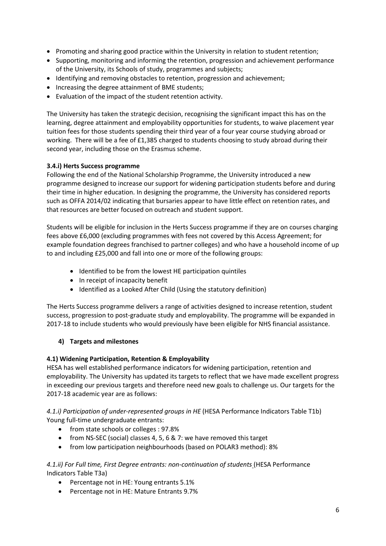- Promoting and sharing good practice within the University in relation to student retention;
- Supporting, monitoring and informing the retention, progression and achievement performance of the University, its Schools of study, programmes and subjects;
- Identifying and removing obstacles to retention, progression and achievement;
- Increasing the degree attainment of BME students;
- Evaluation of the impact of the student retention activity.

The University has taken the strategic decision, recognising the significant impact this has on the learning, degree attainment and employability opportunities for students, to waive placement year tuition fees for those students spending their third year of a four year course studying abroad or working. There will be a fee of £1,385 charged to students choosing to study abroad during their second year, including those on the Erasmus scheme.

# **3.4.i) Herts Success programme**

Following the end of the National Scholarship Programme, the University introduced a new programme designed to increase our support for widening participation students before and during their time in higher education. In designing the programme, the University has considered reports such as OFFA 2014/02 indicating that bursaries appear to have little effect on retention rates, and that resources are better focused on outreach and student support.

Students will be eligible for inclusion in the Herts Success programme if they are on courses charging fees above £6,000 (excluding programmes with fees not covered by this Access Agreement; for example foundation degrees franchised to partner colleges) and who have a household income of up to and including £25,000 and fall into one or more of the following groups:

- Identified to be from the lowest HE participation quintiles
- In receipt of incapacity benefit
- Identified as a Looked After Child (Using the statutory definition)

The Herts Success programme delivers a range of activities designed to increase retention, student success, progression to post-graduate study and employability. The programme will be expanded in 2017-18 to include students who would previously have been eligible for NHS financial assistance.

# **4) Targets and milestones**

# **4.1) Widening Participation, Retention & Employability**

HESA has well established performance indicators for widening participation, retention and employability. The University has updated its targets to reflect that we have made excellent progress in exceeding our previous targets and therefore need new goals to challenge us. Our targets for the 2017-18 academic year are as follows:

*4.1.i) Participation of under-represented groups in HE* (HESA Performance Indicators Table T1b) Young full-time undergraduate entrants:

- from state schools or colleges : 97.8%
- from NS-SEC (social) classes 4, 5, 6 & 7: we have removed this target
- from low participation neighbourhoods (based on POLAR3 method): 8%

# *4.1.ii) For Full time, First Degree entrants: non-continuation of students* (HESA Performance Indicators Table T3a)

- Percentage not in HE: Young entrants 5.1%
- Percentage not in HE: Mature Entrants 9.7%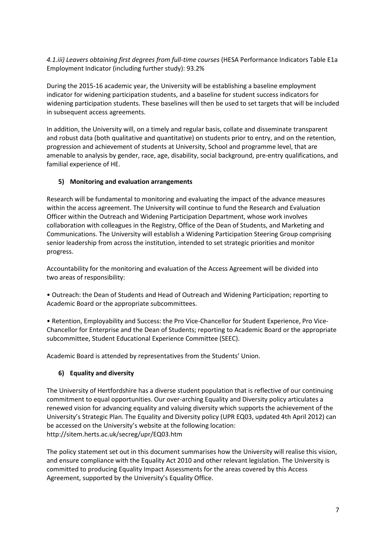*4.1.iii) Leavers obtaining first degrees from full-time courses* (HESA Performance Indicators Table E1a Employment Indicator (including further study): 93.2%

During the 2015-16 academic year, the University will be establishing a baseline employment indicator for widening participation students, and a baseline for student success indicators for widening participation students. These baselines will then be used to set targets that will be included in subsequent access agreements.

In addition, the University will, on a timely and regular basis, collate and disseminate transparent and robust data (both qualitative and quantitative) on students prior to entry, and on the retention, progression and achievement of students at University, School and programme level, that are amenable to analysis by gender, race, age, disability, social background, pre-entry qualifications, and familial experience of HE.

# **5) Monitoring and evaluation arrangements**

Research will be fundamental to monitoring and evaluating the impact of the advance measures within the access agreement. The University will continue to fund the Research and Evaluation Officer within the Outreach and Widening Participation Department, whose work involves collaboration with colleagues in the Registry, Office of the Dean of Students, and Marketing and Communications. The University will establish a Widening Participation Steering Group comprising senior leadership from across the institution, intended to set strategic priorities and monitor progress.

Accountability for the monitoring and evaluation of the Access Agreement will be divided into two areas of responsibility:

• Outreach: the Dean of Students and Head of Outreach and Widening Participation; reporting to Academic Board or the appropriate subcommittees.

• Retention, Employability and Success: the Pro Vice-Chancellor for Student Experience, Pro Vice-Chancellor for Enterprise and the Dean of Students; reporting to Academic Board or the appropriate subcommittee, Student Educational Experience Committee (SEEC).

Academic Board is attended by representatives from the Students' Union.

# **6) Equality and diversity**

The University of Hertfordshire has a diverse student population that is reflective of our continuing commitment to equal opportunities. Our over-arching Equality and Diversity policy articulates a renewed vision for advancing equality and valuing diversity which supports the achievement of the University's Strategic Plan. The Equality and Diversity policy (UPR EQ03, updated 4th April 2012) can be accessed on the University's website at the following location: http://sitem.herts.ac.uk/secreg/upr/EQ03.htm

The policy statement set out in this document summarises how the University will realise this vision, and ensure compliance with the Equality Act 2010 and other relevant legislation. The University is committed to producing Equality Impact Assessments for the areas covered by this Access Agreement, supported by the University's Equality Office.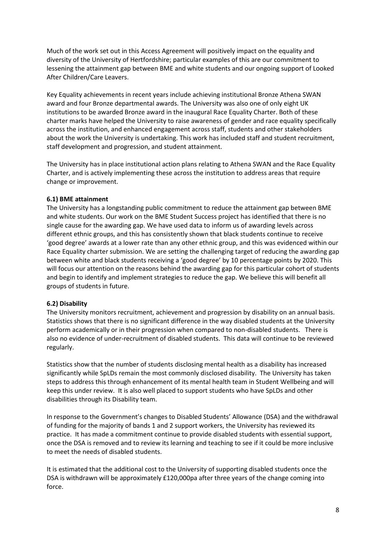Much of the work set out in this Access Agreement will positively impact on the equality and diversity of the University of Hertfordshire; particular examples of this are our commitment to lessening the attainment gap between BME and white students and our ongoing support of Looked After Children/Care Leavers.

Key Equality achievements in recent years include achieving institutional Bronze Athena SWAN award and four Bronze departmental awards. The University was also one of only eight UK institutions to be awarded Bronze award in the inaugural Race Equality Charter. Both of these charter marks have helped the University to raise awareness of gender and race equality specifically across the institution, and enhanced engagement across staff, students and other stakeholders about the work the University is undertaking. This work has included staff and student recruitment, staff development and progression, and student attainment.

The University has in place institutional action plans relating to Athena SWAN and the Race Equality Charter, and is actively implementing these across the institution to address areas that require change or improvement.

#### **6.1) BME attainment**

The University has a longstanding public commitment to reduce the attainment gap between BME and white students. Our work on the BME Student Success project has identified that there is no single cause for the awarding gap. We have used data to inform us of awarding levels across different ethnic groups, and this has consistently shown that black students continue to receive 'good degree' awards at a lower rate than any other ethnic group, and this was evidenced within our Race Equality charter [submission.](http://www.herts.ac.uk/about-us/equality-and-diversity/race-equality-charter-mark) We are setting the challenging target of reducing the awarding gap between white and black students receiving a 'good degree' by 10 percentage points by 2020. This will focus our attention on the reasons behind the awarding gap for this particular cohort of students and begin to identify and implement strategies to reduce the gap. We believe this will benefit all groups of students in future.

#### **6.2) Disability**

The University monitors recruitment, achievement and progression by disability on an annual basis. Statistics shows that there is no significant difference in the way disabled students at the University perform academically or in their progression when compared to non-disabled students. There is also no evidence of under-recruitment of disabled students. This data will continue to be reviewed regularly.

Statistics show that the number of students disclosing mental health as a disability has increased significantly while SpLDs remain the most commonly disclosed disability. The University has taken steps to address this through enhancement of its mental health team in Student Wellbeing and will keep this under review. It is also well placed to support students who have SpLDs and other disabilities through its Disability team.

In response to the Government's changes to Disabled Students' Allowance (DSA) and the withdrawal of funding for the majority of bands 1 and 2 support workers, the University has reviewed its practice. It has made a commitment continue to provide disabled students with essential support, once the DSA is removed and to review its learning and teaching to see if it could be more inclusive to meet the needs of disabled students.

It is estimated that the additional cost to the University of supporting disabled students once the DSA is withdrawn will be approximately £120,000pa after three years of the change coming into force.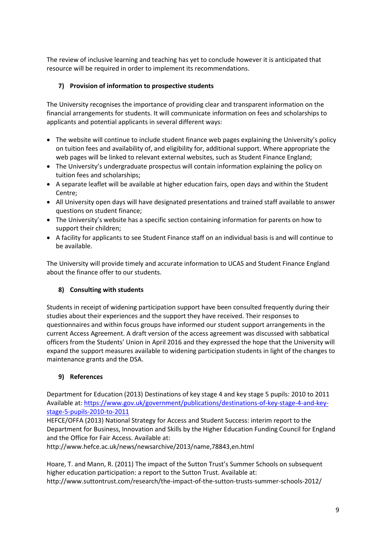The review of inclusive learning and teaching has yet to conclude however it is anticipated that resource will be required in order to implement its recommendations.

# **7) Provision of information to prospective students**

The University recognises the importance of providing clear and transparent information on the financial arrangements for students. It will communicate information on fees and scholarships to applicants and potential applicants in several different ways:

- The website will continue to include student finance web pages explaining the University's policy on tuition fees and availability of, and eligibility for, additional support. Where appropriate the web pages will be linked to relevant external websites, such as Student Finance England;
- The University's undergraduate prospectus will contain information explaining the policy on tuition fees and scholarships;
- A separate leaflet will be available at higher education fairs, open days and within the Student Centre;
- All University open days will have designated presentations and trained staff available to answer questions on student finance;
- The University's website has a specific section containing information for parents on how to support their children;
- A facility for applicants to see Student Finance staff on an individual basis is and will continue to be available.

The University will provide timely and accurate information to UCAS and Student Finance England about the finance offer to our students.

# **8) Consulting with students**

Students in receipt of widening participation support have been consulted frequently during their studies about their experiences and the support they have received. Their responses to questionnaires and within focus groups have informed our student support arrangements in the current Access Agreement. A draft version of the access agreement was discussed with sabbatical officers from the Students' Union in April 2016 and they expressed the hope that the University will expand the support measures available to widening participation students in light of the changes to maintenance grants and the DSA.

# **9) References**

Department for Education (2013) Destinations of key stage 4 and key stage 5 pupils: 2010 to 2011 Available at: [https://www.gov.uk/government/publications/destinations-of-key-stage-4-and-key](https://www.gov.uk/government/publications/destinations-of-key-stage-4-and-key-stage-5-pupils-2010-to-2011)[stage-5-pupils-2010-to-2011](https://www.gov.uk/government/publications/destinations-of-key-stage-4-and-key-stage-5-pupils-2010-to-2011)

HEFCE/OFFA (2013) National Strategy for Access and Student Success: interim report to the Department for Business, Innovation and Skills by the Higher Education Funding Council for England and the Office for Fair Access. Available at:

http://www.hefce.ac.uk/news/newsarchive/2013/name,78843,en.html

Hoare, T. and Mann, R. (2011) The impact of the Sutton Trust's Summer Schools on subsequent higher education participation: a report to the Sutton Trust. Available at: http://www.suttontrust.com/research/the-impact-of-the-sutton-trusts-summer-schools-2012/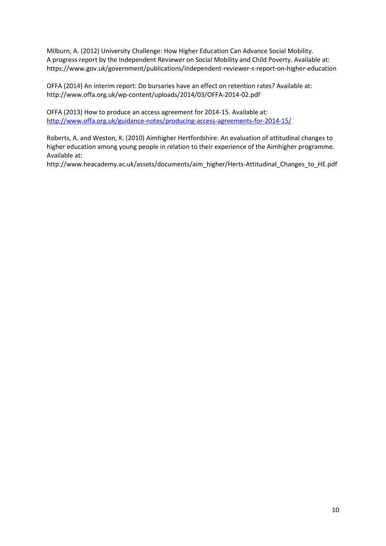Milburn, A. (2012) University Challenge: How Higher Education Can Advance Social Mobility. A progress report by the Independent Reviewer on Social Mobility and Child Poverty. Available at: https://www.gov.uk/government/publications/independent-reviewer-s-report-on-higher-education

OFFA (2014) An interim report: Do bursaries have an effect on retention rates? Available at: http://www.offa.org.uk/wp-content/uploads/2014/03/OFFA-2014-02.pdf

OFFA (2013) How to produce an access agreement for 2014-15. Available at: <http://www.offa.org.uk/guidance-notes/producing-access-agreements-for-2014-15/>

Roberts, A. and Weston, K. (2010) Aimhigher Hertfordshire: An evaluation of attitudinal changes to higher education among young people in relation to their experience of the Aimhigher programme. Available at:

http://www.heacademy.ac.uk/assets/documents/aim\_higher/Herts-Attitudinal\_Changes\_to\_HE.pdf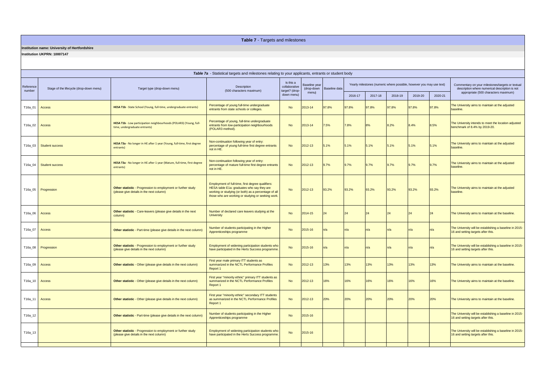| Table 7a - Statistical targets and milestones relating to your applicants, entrants or student body |                                         |                                                                                                          |                                                                                                                                                                                                               |                                                            |                        |                            |                                                                      |         |         |         |                                                                                                    |                                                                                               |
|-----------------------------------------------------------------------------------------------------|-----------------------------------------|----------------------------------------------------------------------------------------------------------|---------------------------------------------------------------------------------------------------------------------------------------------------------------------------------------------------------------|------------------------------------------------------------|------------------------|----------------------------|----------------------------------------------------------------------|---------|---------|---------|----------------------------------------------------------------------------------------------------|-----------------------------------------------------------------------------------------------|
| Reference<br>number                                                                                 | Stage of the lifecycle (drop-down menu) | Target type (drop-down menu)                                                                             | Description<br>(500 characters maximum)                                                                                                                                                                       | Is this a<br>collaborative<br>target? (drop-<br>down menu) | Baseline year<br>menu) | (drop-down   Baseline data | Yearly milestones (numeric where possible, however you may use text) |         |         |         | Commentary on your milestones/targets or textual<br>description where numerical description is not |                                                                                               |
|                                                                                                     |                                         |                                                                                                          |                                                                                                                                                                                                               |                                                            |                        |                            | 2016-17                                                              | 2017-18 | 2018-19 | 2019-20 | 2020-21                                                                                            | appropriate (500 characters maximum)                                                          |
| T16a_01                                                                                             | Access                                  | HESA T1b - State School (Young, full-time, undergraduate entrants)                                       | Percentage of young full-time undergraduate<br>entrants from state schools or colleges.                                                                                                                       | <b>No</b>                                                  | 2013-14                | 97.8%                      | 97.8%                                                                | 97.8%   | 97.8%   | 97.8%   | 97.8%                                                                                              | The University aims to maintain at the adjusted<br>baseline.                                  |
| T16a_02                                                                                             | Access                                  | HESA T1b - Low participation neighbourhoods (POLAR3) (Young, full-<br>time, undergraduate entrants)      | Percentage of young, full-time undergraduate<br>entrants from low-participation neighbourhoods<br>(POLAR3 method).                                                                                            | <b>No</b>                                                  | 2013-14                | 7.5%                       | 7.8%                                                                 |         | 8.2%    | 8.4%    | 8.5%                                                                                               | The University intends to meet the location adjusted<br>benchmark of 8.4% by 2019-20.         |
|                                                                                                     | T16a_03   Student success               | HESA T3a - No longer in HE after 1 year (Young, full-time, first degree<br>entrants)                     | Non-continuation following year of entry:<br>percentage of young full-time first degree entrants<br>not in HE.                                                                                                | <b>No</b>                                                  | 2012-13                | 5.1%                       | 5.1%                                                                 | 5.1%    | 5.1%    | 5.1%    | 5.1%                                                                                               | The University aims to maintain at the adjusted<br>baseline.                                  |
|                                                                                                     | T16a_04 Student success                 | HESA T3a - No longer in HE after 1 year (Mature, full-time, first degree<br>entrants)                    | Non-continuation following year of entry:<br>percentage of mature full-time first degree entrants<br>not in HE.                                                                                               | <b>No</b>                                                  | 2012-13                | 9.7%                       | 9.7%                                                                 | 9.7%    | 9.7%    | 9.7%    | 9.7%                                                                                               | The University aims to maintain at the adjusted<br>baseline.                                  |
|                                                                                                     | T16a_05   Progression                   | Other statistic - Progression to employment or further study<br>(please give details in the next column) | Employment of full-time, first degree qualifiers:<br>HESA table E1a: graduates who say they are<br>working or studying (or both) as a percentage of all<br>those who are working or studying or seeking work. | <b>No</b>                                                  | 2012-13                | 93.2%                      | 93.2%                                                                | 93.2%   | 93.2%   | 93.2%   | 93.2%                                                                                              | The University aims to maintain at the adjusted<br>baseline.                                  |
| T16a_06 Access                                                                                      |                                         | Other statistic - Care-leavers (please give details in the next<br>column)                               | Number of declared care leavers studying at the<br><b>University</b>                                                                                                                                          | <b>No</b>                                                  | 2014-15                | 24                         |                                                                      |         |         |         |                                                                                                    | The University aims to maintain at the baseline.                                              |
| T16a_07                                                                                             | Access                                  | Other statistic - Part-time (please give details in the next column)                                     | Number of students participating in the Higher<br>Apprenticeships programme                                                                                                                                   | <b>No</b>                                                  | 2015-16                |                            |                                                                      | n/a     |         |         |                                                                                                    | The University will be establishing a baseline in 2015-<br>16 and setting targets after this. |
|                                                                                                     | T16a_08   Progression                   | Other statistic - Progression to employment or further study<br>(please give details in the next column) | Employment of widening participation students who<br>have participated in the Herts Success programme.                                                                                                        | <b>No</b>                                                  | 2015-16                | ln/a                       | In/a                                                                 | n/a     |         |         | ln/a                                                                                               | The University will be establishing a baseline in 2015-<br>16 and setting targets after this. |
| T16a_09 Access                                                                                      |                                         | <b>Other statistic</b> - Other (please give details in the next column)                                  | First year male primary ITT students as<br>summarized in the NCTL Performance Profiles<br>Report 1                                                                                                            | <b>No</b>                                                  | 2012-13                | 13%                        | 13%                                                                  | 13%     | 13%     | 13%     | 13%                                                                                                | The University aims to maintain at the baseline.                                              |
| $T16a_10$ Access                                                                                    |                                         | <b>Other statistic</b> - Other (please give details in the next column)                                  | First year "minority ethnic" primary ITT students as<br>summarized in the NCTL Performance Profiles<br>Report 1                                                                                               | <b>No</b>                                                  | 2012-13                | 16%                        | 16%                                                                  | 16%     | 16%     | 16%     | 16%                                                                                                | The University aims to maintain at the baseline.                                              |
| T16a_11                                                                                             | Access                                  | <b>Other statistic</b> - Other (please give details in the next column)                                  | First year "minority ethnic" secondary ITT students<br>as summarized in the NCTL Performance Profiles<br>Report 1                                                                                             | <b>No</b>                                                  | $2012 - 13$            | 20%                        | 20%                                                                  | 20%     | 20%     | 20%     | 20%                                                                                                | The University aims to maintain at the baseline.                                              |
| T16a_12                                                                                             |                                         | Other statistic - Part-time (please give details in the next column)                                     | Number of students participating in the Higher<br>Apprenticeships programme                                                                                                                                   | <b>No</b>                                                  | 2015-16                |                            |                                                                      |         |         |         |                                                                                                    | The University will be establishing a baseline in 2015-<br>16 and setting targets after this. |
| T16a_13                                                                                             |                                         | Other statistic - Progression to employment or further study<br>(please give details in the next column) | Employment of widening participation students who<br>have participated in the Herts Success programme.                                                                                                        | <b>No</b>                                                  | 2015-16                |                            |                                                                      |         |         |         |                                                                                                    | The University will be establishing a baseline in 2015-<br>16 and setting targets after this. |
|                                                                                                     |                                         |                                                                                                          |                                                                                                                                                                                                               |                                                            |                        |                            |                                                                      |         |         |         |                                                                                                    |                                                                                               |

# **Table 7** - Targets and milestones

# **Institution name: University of Hertfordshire**

**Institution UKPRN: 10007147**